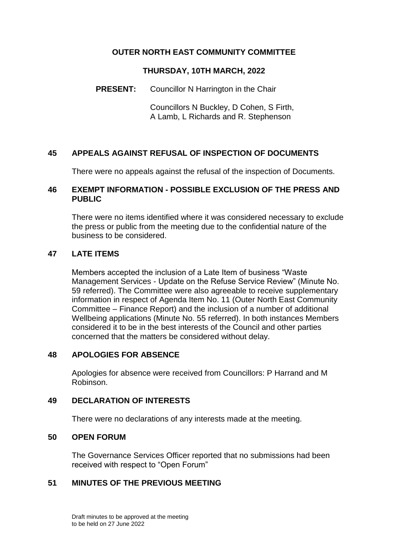# **OUTER NORTH EAST COMMUNITY COMMITTEE**

### **THURSDAY, 10TH MARCH, 2022**

### **PRESENT:** Councillor N Harrington in the Chair

Councillors N Buckley, D Cohen, S Firth, A Lamb, L Richards and R. Stephenson

# **45 APPEALS AGAINST REFUSAL OF INSPECTION OF DOCUMENTS**

There were no appeals against the refusal of the inspection of Documents.

### **46 EXEMPT INFORMATION - POSSIBLE EXCLUSION OF THE PRESS AND PUBLIC**

There were no items identified where it was considered necessary to exclude the press or public from the meeting due to the confidential nature of the business to be considered.

### **47 LATE ITEMS**

Members accepted the inclusion of a Late Item of business "Waste Management Services - Update on the Refuse Service Review" (Minute No. 59 referred). The Committee were also agreeable to receive supplementary information in respect of Agenda Item No. 11 (Outer North East Community Committee – Finance Report) and the inclusion of a number of additional Wellbeing applications (Minute No. 55 referred). In both instances Members considered it to be in the best interests of the Council and other parties concerned that the matters be considered without delay.

### **48 APOLOGIES FOR ABSENCE**

Apologies for absence were received from Councillors: P Harrand and M Robinson.

#### **49 DECLARATION OF INTERESTS**

There were no declarations of any interests made at the meeting.

#### **50 OPEN FORUM**

The Governance Services Officer reported that no submissions had been received with respect to "Open Forum"

# **51 MINUTES OF THE PREVIOUS MEETING**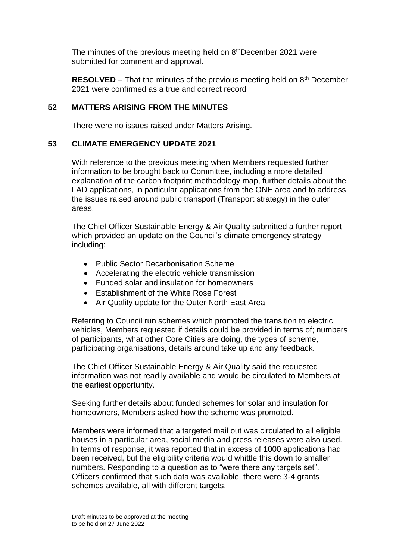The minutes of the previous meeting held on 8<sup>th</sup>December 2021 were submitted for comment and approval.

**RESOLVED** – That the minutes of the previous meeting held on 8<sup>th</sup> December 2021 were confirmed as a true and correct record

# **52 MATTERS ARISING FROM THE MINUTES**

There were no issues raised under Matters Arising.

# **53 CLIMATE EMERGENCY UPDATE 2021**

With reference to the previous meeting when Members requested further information to be brought back to Committee, including a more detailed explanation of the carbon footprint methodology map, further details about the LAD applications, in particular applications from the ONE area and to address the issues raised around public transport (Transport strategy) in the outer areas.

The Chief Officer Sustainable Energy & Air Quality submitted a further report which provided an update on the Council's climate emergency strategy including:

- Public Sector Decarbonisation Scheme
- Accelerating the electric vehicle transmission
- Funded solar and insulation for homeowners
- Establishment of the White Rose Forest
- Air Quality update for the Outer North East Area

Referring to Council run schemes which promoted the transition to electric vehicles, Members requested if details could be provided in terms of; numbers of participants, what other Core Cities are doing, the types of scheme, participating organisations, details around take up and any feedback.

The Chief Officer Sustainable Energy & Air Quality said the requested information was not readily available and would be circulated to Members at the earliest opportunity.

Seeking further details about funded schemes for solar and insulation for homeowners, Members asked how the scheme was promoted.

Members were informed that a targeted mail out was circulated to all eligible houses in a particular area, social media and press releases were also used. In terms of response, it was reported that in excess of 1000 applications had been received, but the eligibility criteria would whittle this down to smaller numbers. Responding to a question as to "were there any targets set". Officers confirmed that such data was available, there were 3-4 grants schemes available, all with different targets.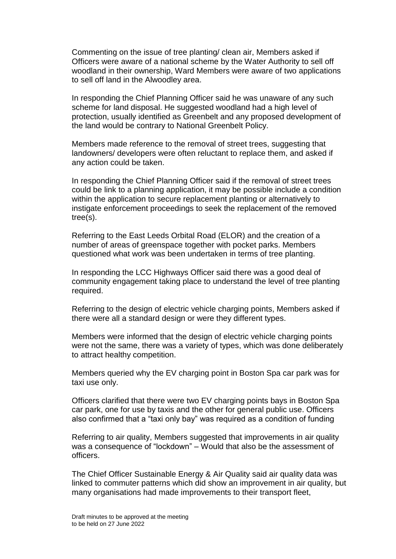Commenting on the issue of tree planting/ clean air, Members asked if Officers were aware of a national scheme by the Water Authority to sell off woodland in their ownership, Ward Members were aware of two applications to sell off land in the Alwoodley area.

In responding the Chief Planning Officer said he was unaware of any such scheme for land disposal. He suggested woodland had a high level of protection, usually identified as Greenbelt and any proposed development of the land would be contrary to National Greenbelt Policy.

Members made reference to the removal of street trees, suggesting that landowners/ developers were often reluctant to replace them, and asked if any action could be taken.

In responding the Chief Planning Officer said if the removal of street trees could be link to a planning application, it may be possible include a condition within the application to secure replacement planting or alternatively to instigate enforcement proceedings to seek the replacement of the removed tree(s).

Referring to the East Leeds Orbital Road (ELOR) and the creation of a number of areas of greenspace together with pocket parks. Members questioned what work was been undertaken in terms of tree planting.

In responding the LCC Highways Officer said there was a good deal of community engagement taking place to understand the level of tree planting required.

Referring to the design of electric vehicle charging points, Members asked if there were all a standard design or were they different types.

Members were informed that the design of electric vehicle charging points were not the same, there was a variety of types, which was done deliberately to attract healthy competition.

Members queried why the EV charging point in Boston Spa car park was for taxi use only.

Officers clarified that there were two EV charging points bays in Boston Spa car park, one for use by taxis and the other for general public use. Officers also confirmed that a "taxi only bay" was required as a condition of funding

Referring to air quality, Members suggested that improvements in air quality was a consequence of "lockdown" – Would that also be the assessment of officers.

The Chief Officer Sustainable Energy & Air Quality said air quality data was linked to commuter patterns which did show an improvement in air quality, but many organisations had made improvements to their transport fleet,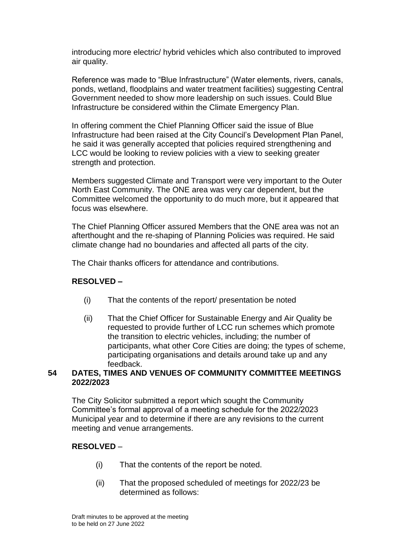introducing more electric/ hybrid vehicles which also contributed to improved air quality.

Reference was made to "Blue Infrastructure" (Water elements, rivers, canals, ponds, wetland, floodplains and water treatment facilities) suggesting Central Government needed to show more leadership on such issues. Could Blue Infrastructure be considered within the Climate Emergency Plan.

In offering comment the Chief Planning Officer said the issue of Blue Infrastructure had been raised at the City Council's Development Plan Panel, he said it was generally accepted that policies required strengthening and LCC would be looking to review policies with a view to seeking greater strength and protection.

Members suggested Climate and Transport were very important to the Outer North East Community. The ONE area was very car dependent, but the Committee welcomed the opportunity to do much more, but it appeared that focus was elsewhere.

The Chief Planning Officer assured Members that the ONE area was not an afterthought and the re-shaping of Planning Policies was required. He said climate change had no boundaries and affected all parts of the city.

The Chair thanks officers for attendance and contributions.

# **RESOLVED –**

- (i) That the contents of the report/ presentation be noted
- (ii) That the Chief Officer for Sustainable Energy and Air Quality be requested to provide further of LCC run schemes which promote the transition to electric vehicles, including; the number of participants, what other Core Cities are doing; the types of scheme, participating organisations and details around take up and any feedback.

# **54 DATES, TIMES AND VENUES OF COMMUNITY COMMITTEE MEETINGS 2022/2023**

The City Solicitor submitted a report which sought the Community Committee's formal approval of a meeting schedule for the 2022/2023 Municipal year and to determine if there are any revisions to the current meeting and venue arrangements.

### **RESOLVED** –

- (i) That the contents of the report be noted.
- (ii) That the proposed scheduled of meetings for 2022/23 be determined as follows: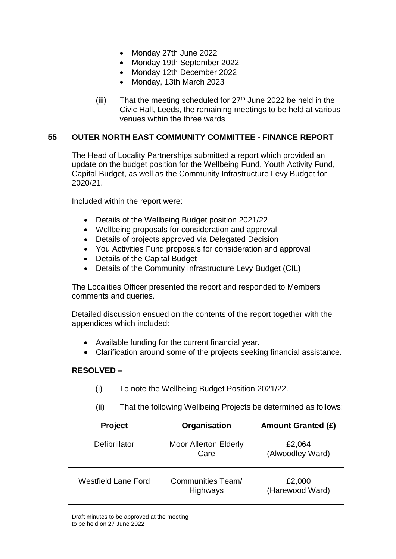- Monday 27th June 2022
- Monday 19th September 2022
- Monday 12th December 2022
- Monday, 13th March 2023
- (iii) That the meeting scheduled for  $27<sup>th</sup>$  June 2022 be held in the Civic Hall, Leeds, the remaining meetings to be held at various venues within the three wards

### **55 OUTER NORTH EAST COMMUNITY COMMITTEE - FINANCE REPORT**

The Head of Locality Partnerships submitted a report which provided an update on the budget position for the Wellbeing Fund, Youth Activity Fund, Capital Budget, as well as the Community Infrastructure Levy Budget for 2020/21.

Included within the report were:

- Details of the Wellbeing Budget position 2021/22
- Wellbeing proposals for consideration and approval
- Details of projects approved via Delegated Decision
- You Activities Fund proposals for consideration and approval
- Details of the Capital Budget
- Details of the Community Infrastructure Levy Budget (CIL)

The Localities Officer presented the report and responded to Members comments and queries.

Detailed discussion ensued on the contents of the report together with the appendices which included:

- Available funding for the current financial year.
- Clarification around some of the projects seeking financial assistance.

### **RESOLVED –**

(i) To note the Wellbeing Budget Position 2021/22.

| <b>Project</b>             | Organisation                         | <b>Amount Granted (£)</b>  |
|----------------------------|--------------------------------------|----------------------------|
| Defibrillator              | <b>Moor Allerton Elderly</b><br>Care | £2,064<br>(Alwoodley Ward) |
| <b>Westfield Lane Ford</b> | <b>Communities Team/</b><br>Highways | £2,000<br>(Harewood Ward)  |

(ii) That the following Wellbeing Projects be determined as follows: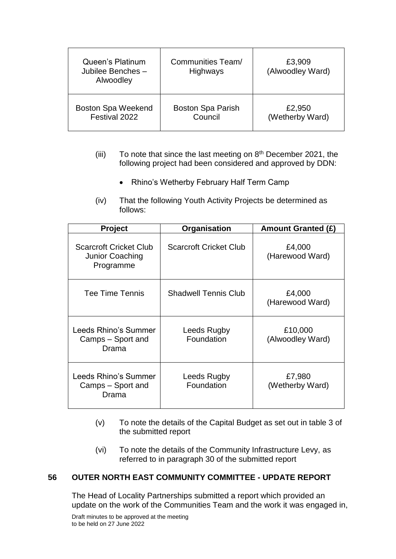| Queen's Platinum<br>Jubilee Benches -<br>Alwoodley | Communities Team/<br><b>Highways</b> | £3,909<br>(Alwoodley Ward) |
|----------------------------------------------------|--------------------------------------|----------------------------|
| <b>Boston Spa Weekend</b>                          | <b>Boston Spa Parish</b>             | £2,950                     |
| Festival 2022                                      | Council                              | (Wetherby Ward)            |

- (iii) To note that since the last meeting on  $8<sup>th</sup>$  December 2021, the following project had been considered and approved by DDN:
	- Rhino's Wetherby February Half Term Camp
- (iv) That the following Youth Activity Projects be determined as follows:

| <b>Project</b>                                                | Organisation                  | Amount Granted (£)          |
|---------------------------------------------------------------|-------------------------------|-----------------------------|
| <b>Scarcroft Cricket Club</b><br>Junior Coaching<br>Programme | <b>Scarcroft Cricket Club</b> | £4,000<br>(Harewood Ward)   |
| Tee Time Tennis                                               | <b>Shadwell Tennis Club</b>   | £4,000<br>(Harewood Ward)   |
| Leeds Rhino's Summer<br>Camps - Sport and<br>Drama            | Leeds Rugby<br>Foundation     | £10,000<br>(Alwoodley Ward) |
| Leeds Rhino's Summer<br>Camps - Sport and<br>Drama            | Leeds Rugby<br>Foundation     | £7,980<br>(Wetherby Ward)   |

- (v) To note the details of the Capital Budget as set out in table 3 of the submitted report
- (vi) To note the details of the Community Infrastructure Levy, as referred to in paragraph 30 of the submitted report

# **56 OUTER NORTH EAST COMMUNITY COMMITTEE - UPDATE REPORT**

The Head of Locality Partnerships submitted a report which provided an update on the work of the Communities Team and the work it was engaged in,

Draft minutes to be approved at the meeting to be held on 27 June 2022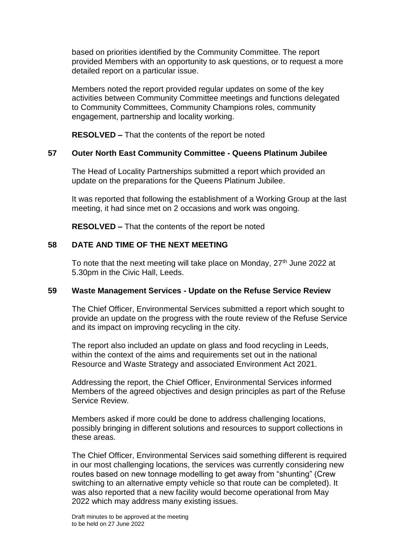based on priorities identified by the Community Committee. The report provided Members with an opportunity to ask questions, or to request a more detailed report on a particular issue.

Members noted the report provided regular updates on some of the key activities between Community Committee meetings and functions delegated to Community Committees, Community Champions roles, community engagement, partnership and locality working.

**RESOLVED –** That the contents of the report be noted

# **57 Outer North East Community Committee - Queens Platinum Jubilee**

The Head of Locality Partnerships submitted a report which provided an update on the preparations for the Queens Platinum Jubilee.

It was reported that following the establishment of a Working Group at the last meeting, it had since met on 2 occasions and work was ongoing.

**RESOLVED –** That the contents of the report be noted

### **58 DATE AND TIME OF THE NEXT MEETING**

To note that the next meeting will take place on Monday, 27<sup>th</sup> June 2022 at 5.30pm in the Civic Hall, Leeds.

### **59 Waste Management Services - Update on the Refuse Service Review**

The Chief Officer, Environmental Services submitted a report which sought to provide an update on the progress with the route review of the Refuse Service and its impact on improving recycling in the city.

The report also included an update on glass and food recycling in Leeds, within the context of the aims and requirements set out in the national Resource and Waste Strategy and associated Environment Act 2021.

Addressing the report, the Chief Officer, Environmental Services informed Members of the agreed objectives and design principles as part of the Refuse Service Review.

Members asked if more could be done to address challenging locations, possibly bringing in different solutions and resources to support collections in these areas.

The Chief Officer, Environmental Services said something different is required in our most challenging locations, the services was currently considering new routes based on new tonnage modelling to get away from "shunting" (Crew switching to an alternative empty vehicle so that route can be completed). It was also reported that a new facility would become operational from May 2022 which may address many existing issues.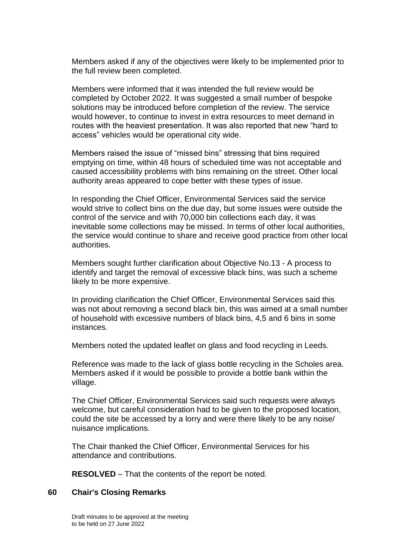Members asked if any of the objectives were likely to be implemented prior to the full review been completed.

Members were informed that it was intended the full review would be completed by October 2022. It was suggested a small number of bespoke solutions may be introduced before completion of the review. The service would however, to continue to invest in extra resources to meet demand in routes with the heaviest presentation. It was also reported that new "hard to access" vehicles would be operational city wide.

Members raised the issue of "missed bins" stressing that bins required emptying on time, within 48 hours of scheduled time was not acceptable and caused accessibility problems with bins remaining on the street. Other local authority areas appeared to cope better with these types of issue.

In responding the Chief Officer, Environmental Services said the service would strive to collect bins on the due day, but some issues were outside the control of the service and with 70,000 bin collections each day, it was inevitable some collections may be missed. In terms of other local authorities, the service would continue to share and receive good practice from other local authorities.

Members sought further clarification about Objective No.13 - A process to identify and target the removal of excessive black bins, was such a scheme likely to be more expensive.

In providing clarification the Chief Officer, Environmental Services said this was not about removing a second black bin, this was aimed at a small number of household with excessive numbers of black bins, 4,5 and 6 bins in some instances.

Members noted the updated leaflet on glass and food recycling in Leeds.

Reference was made to the lack of glass bottle recycling in the Scholes area. Members asked if it would be possible to provide a bottle bank within the village.

The Chief Officer, Environmental Services said such requests were always welcome, but careful consideration had to be given to the proposed location, could the site be accessed by a lorry and were there likely to be any noise/ nuisance implications.

The Chair thanked the Chief Officer, Environmental Services for his attendance and contributions.

**RESOLVED** – That the contents of the report be noted.

#### **60 Chair's Closing Remarks**

Draft minutes to be approved at the meeting to be held on 27 June 2022